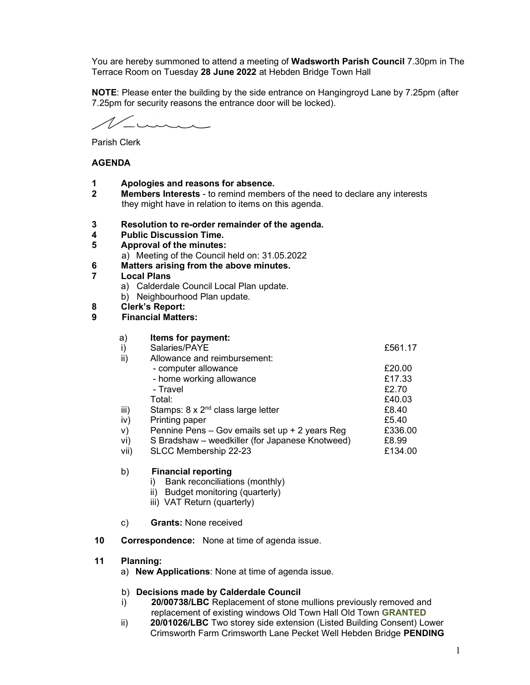You are hereby summoned to attend a meeting of Wadsworth Parish Council 7.30pm in The Terrace Room on Tuesday 28 June 2022 at Hebden Bridge Town Hall

NOTE: Please enter the building by the side entrance on Hangingroyd Lane by 7.25pm (after 7.25pm for security reasons the entrance door will be locked).

inne

Parish Clerk

#### AGENDA

- 1 Apologies and reasons for absence.
- **2** Members Interests to remind members of the need to declare any interests they might have in relation to items on this agenda.
- 3 Resolution to re-order remainder of the agenda.
- 4 Public Discussion Time.
- 5 Approval of the minutes: a) Meeting of the Council held on: 31.05.2022
- 6 Matters arising from the above minutes.
- 7 Local Plans
	- a) Calderdale Council Local Plan update.
	- b) Neighbourhood Plan update.
- 8 Clerk's Report:
- 9 Financial Matters:

| a)   | Items for payment:                              |         |
|------|-------------------------------------------------|---------|
| i)   | Salaries/PAYE                                   | £561.17 |
| ii)  | Allowance and reimbursement:                    |         |
|      | - computer allowance                            | £20.00  |
|      | - home working allowance                        | £17.33  |
|      | - Travel                                        | £2.70   |
|      | Total:                                          | £40.03  |
| iii) | Stamps: $8 \times 2^{nd}$ class large letter    | £8.40   |
| iv)  | Printing paper                                  | £5.40   |
| V)   | Pennine Pens - Gov emails set up + 2 years Reg  | £336.00 |
| vi)  | S Bradshaw - weedkiller (for Japanese Knotweed) | £8.99   |
| vii) | SLCC Membership 22-23                           | £134.00 |
|      |                                                 |         |

#### b) Financial reporting

- i) Bank reconciliations (monthly)
- ii) Budget monitoring (quarterly)
- iii) VAT Return (quarterly)
- c) Grants: None received
- 10 Correspondence: None at time of agenda issue.

#### 11 Planning:

a) New Applications: None at time of agenda issue.

#### b) Decisions made by Calderdale Council

- i) 20/00738/LBC Replacement of stone mullions previously removed and replacement of existing windows Old Town Hall Old Town GRANTED
- ii) 20/01026/LBC Two storey side extension (Listed Building Consent) Lower Crimsworth Farm Crimsworth Lane Pecket Well Hebden Bridge PENDING